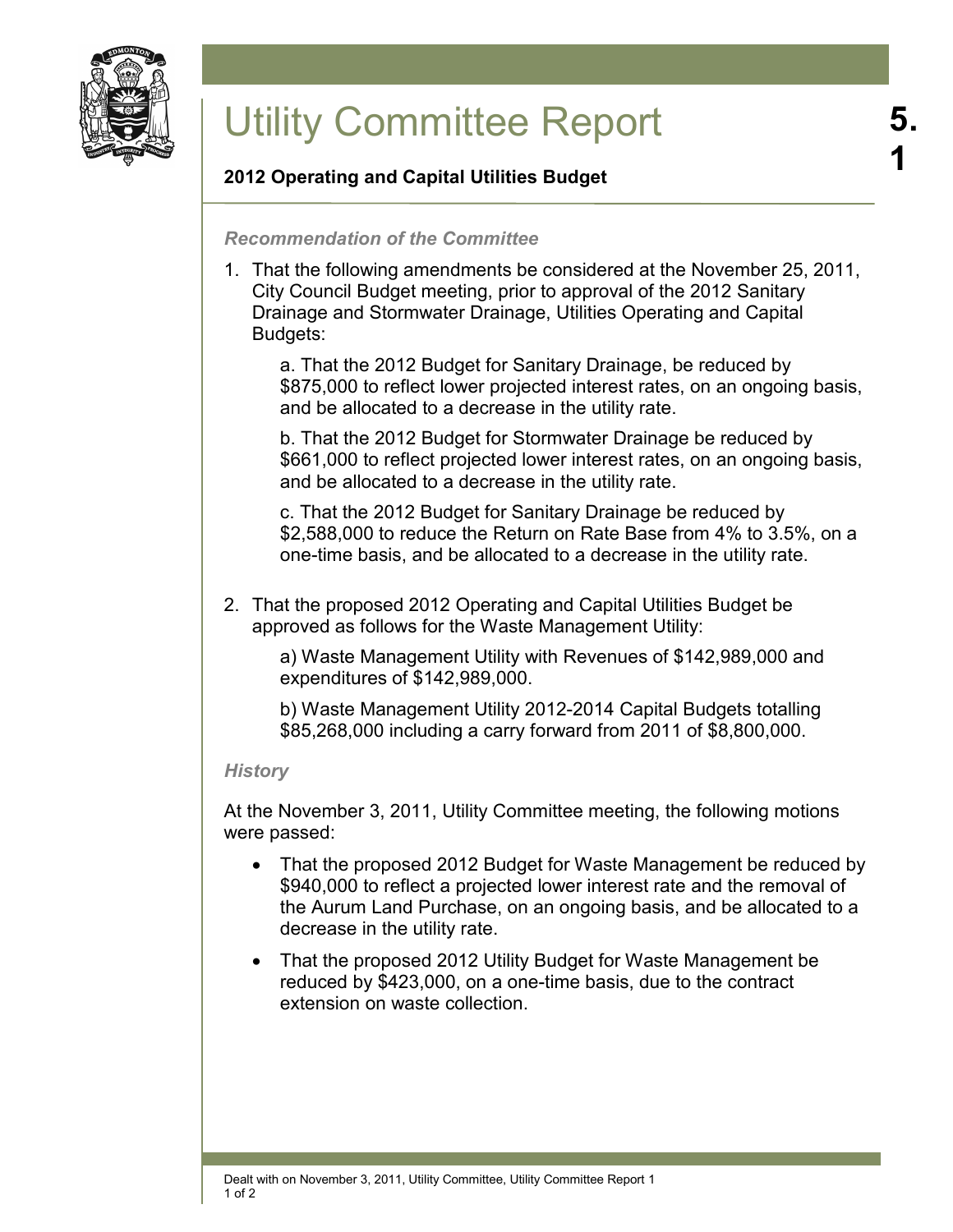

# Utility Committee Report

# **2012 Operating and Capital Utilities Budget**

## *Recommendation of the Committee*

1. That the following amendments be considered at the November 25, 2011, City Council Budget meeting, prior to approval of the 2012 Sanitary Drainage and Stormwater Drainage, Utilities Operating and Capital Budgets:

a. That the 2012 Budget for Sanitary Drainage, be reduced by \$875,000 to reflect lower projected interest rates, on an ongoing basis, and be allocated to a decrease in the utility rate.

b. That the 2012 Budget for Stormwater Drainage be reduced by \$661,000 to reflect projected lower interest rates, on an ongoing basis, and be allocated to a decrease in the utility rate.

c. That the 2012 Budget for Sanitary Drainage be reduced by \$2,588,000 to reduce the Return on Rate Base from 4% to 3.5%, on a one-time basis, and be allocated to a decrease in the utility rate.

2. That the proposed 2012 Operating and Capital Utilities Budget be approved as follows for the Waste Management Utility:

a) Waste Management Utility with Revenues of \$142,989,000 and expenditures of \$142,989,000.

b) Waste Management Utility 2012-2014 Capital Budgets totalling \$85,268,000 including a carry forward from 2011 of \$8,800,000.

#### *History*

At the November 3, 2011, Utility Committee meeting, the following motions were passed:

- That the proposed 2012 Budget for Waste Management be reduced by \$940,000 to reflect a projected lower interest rate and the removal of the Aurum Land Purchase, on an ongoing basis, and be allocated to a decrease in the utility rate.
- That the proposed 2012 Utility Budget for Waste Management be reduced by \$423,000, on a one-time basis, due to the contract extension on waste collection.